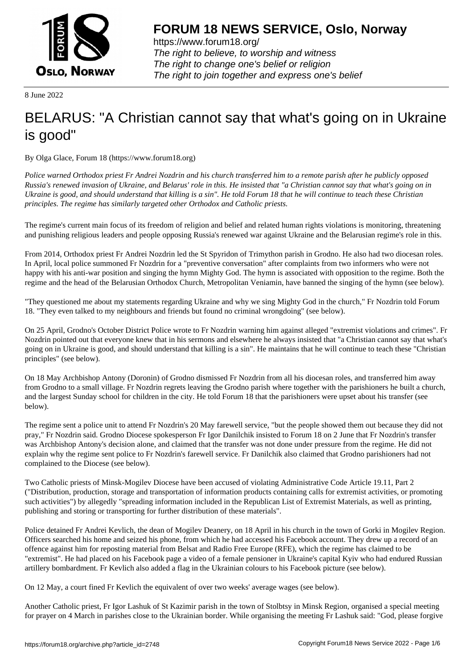

https://www.forum18.org/ The right to believe, to worship and witness The right to change one's belief or religion [The right to join together a](https://www.forum18.org/)nd express one's belief

8 June 2022

## [BELARUS: "A C](https://www.forum18.org)hristian cannot say that what's going on in Ukraine is good"

By Olga Glace, Forum 18 (https://www.forum18.org)

*Police warned Orthodox priest Fr Andrei Nozdrin and his church transferred him to a remote parish after he publicly opposed Russia's renewed invasion of Ukraine, and Belarus' role in this. He insisted that "a Christian cannot say that what's going on in Ukraine is good, and should understand that killing is a sin". He told Forum 18 that he will continue to teach these Christian principles. The regime has similarly targeted other Orthodox and Catholic priests.*

The regime's current main focus of its freedom of religion and belief and related human rights violations is monitoring, threatening and punishing religious leaders and people opposing Russia's renewed war against Ukraine and the Belarusian regime's role in this.

From 2014, Orthodox priest Fr Andrei Nozdrin led the St Spyridon of Trimython parish in Grodno. He also had two diocesan roles. In April, local police summoned Fr Nozdrin for a "preventive conversation" after complaints from two informers who were not happy with his anti-war position and singing the hymn Mighty God. The hymn is associated with opposition to the regime. Both the regime and the head of the Belarusian Orthodox Church, Metropolitan Veniamin, have banned the singing of the hymn (see below).

"They questioned me about my statements regarding Ukraine and why we sing Mighty God in the church," Fr Nozdrin told Forum 18. "They even talked to my neighbours and friends but found no criminal wrongdoing" (see below).

On 25 April, Grodno's October District Police wrote to Fr Nozdrin warning him against alleged "extremist violations and crimes". Fr Nozdrin pointed out that everyone knew that in his sermons and elsewhere he always insisted that "a Christian cannot say that what's going on in Ukraine is good, and should understand that killing is a sin". He maintains that he will continue to teach these "Christian principles" (see below).

On 18 May Archbishop Antony (Doronin) of Grodno dismissed Fr Nozdrin from all his diocesan roles, and transferred him away from Grodno to a small village. Fr Nozdrin regrets leaving the Grodno parish where together with the parishioners he built a church, and the largest Sunday school for children in the city. He told Forum 18 that the parishioners were upset about his transfer (see below).

The regime sent a police unit to attend Fr Nozdrin's 20 May farewell service, "but the people showed them out because they did not pray," Fr Nozdrin said. Grodno Diocese spokesperson Fr Igor Danilchik insisted to Forum 18 on 2 June that Fr Nozdrin's transfer was Archbishop Antony's decision alone, and claimed that the transfer was not done under pressure from the regime. He did not explain why the regime sent police to Fr Nozdrin's farewell service. Fr Danilchik also claimed that Grodno parishioners had not complained to the Diocese (see below).

Two Catholic priests of Minsk-Mogilev Diocese have been accused of violating Administrative Code Article 19.11, Part 2 ("Distribution, production, storage and transportation of information products containing calls for extremist activities, or promoting such activities") by allegedly "spreading information included in the Republican List of Extremist Materials, as well as printing, publishing and storing or transporting for further distribution of these materials".

Police detained Fr Andrei Kevlich, the dean of Mogilev Deanery, on 18 April in his church in the town of Gorki in Mogilev Region. Officers searched his home and seized his phone, from which he had accessed his Facebook account. They drew up a record of an offence against him for reposting material from Belsat and Radio Free Europe (RFE), which the regime has claimed to be "extremist". He had placed on his Facebook page a video of a female pensioner in Ukraine's capital Kyiv who had endured Russian artillery bombardment. Fr Kevlich also added a flag in the Ukrainian colours to his Facebook picture (see below).

On 12 May, a court fined Fr Kevlich the equivalent of over two weeks' average wages (see below).

Another Catholic priest, Fr Igor Lashuk of St Kazimir parish in the town of Stolbtsy in Minsk Region, organised a special meeting for prayer on 4 March in parishes close to the Ukrainian border. While organising the meeting Fr Lashuk said: "God, please forgive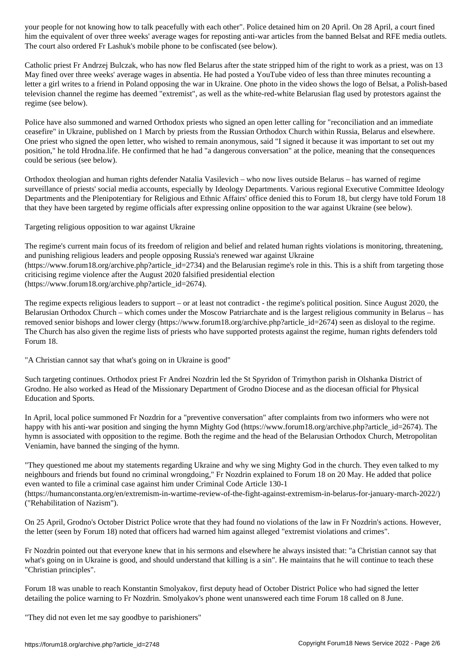him the equivalent of over three weeks' average wages for reposting anti-war articles from the banned Belsat and RFE media outlets. The court also ordered Fr Lashuk's mobile phone to be confiscated (see below).

Catholic priest Fr Andrzej Bulczak, who has now fled Belarus after the state stripped him of the right to work as a priest, was on 13 May fined over three weeks' average wages in absentia. He had posted a YouTube video of less than three minutes recounting a letter a girl writes to a friend in Poland opposing the war in Ukraine. One photo in the video shows the logo of Belsat, a Polish-based television channel the regime has deemed "extremist", as well as the white-red-white Belarusian flag used by protestors against the regime (see below).

Police have also summoned and warned Orthodox priests who signed an open letter calling for "reconciliation and an immediate ceasefire" in Ukraine, published on 1 March by priests from the Russian Orthodox Church within Russia, Belarus and elsewhere. One priest who signed the open letter, who wished to remain anonymous, said "I signed it because it was important to set out my position," he told Hrodna.life. He confirmed that he had "a dangerous conversation" at the police, meaning that the consequences could be serious (see below).

Orthodox theologian and human rights defender Natalia Vasilevich – who now lives outside Belarus – has warned of regime surveillance of priests' social media accounts, especially by Ideology Departments. Various regional Executive Committee Ideology Departments and the Plenipotentiary for Religious and Ethnic Affairs' office denied this to Forum 18, but clergy have told Forum 18 that they have been targeted by regime officials after expressing online opposition to the war against Ukraine (see below).

Targeting religious opposition to war against Ukraine

The regime's current main focus of its freedom of religion and belief and related human rights violations is monitoring, threatening, and punishing religious leaders and people opposing Russia's renewed war against Ukraine (https://www.forum18.org/archive.php?article\_id=2734) and the Belarusian regime's role in this. This is a shift from targeting those criticising regime violence after the August 2020 falsified presidential election (https://www.forum18.org/archive.php?article\_id=2674).

The regime expects religious leaders to support – or at least not contradict - the regime's political position. Since August 2020, the Belarusian Orthodox Church – which comes under the Moscow Patriarchate and is the largest religious community in Belarus – has removed senior bishops and lower clergy (https://www.forum18.org/archive.php?article\_id=2674) seen as disloyal to the regime. The Church has also given the regime lists of priests who have supported protests against the regime, human rights defenders told Forum 18.

"A Christian cannot say that what's going on in Ukraine is good"

Such targeting continues. Orthodox priest Fr Andrei Nozdrin led the St Spyridon of Trimython parish in Olshanka District of Grodno. He also worked as Head of the Missionary Department of Grodno Diocese and as the diocesan official for Physical Education and Sports.

In April, local police summoned Fr Nozdrin for a "preventive conversation" after complaints from two informers who were not happy with his anti-war position and singing the hymn Mighty God (https://www.forum18.org/archive.php?article\_id=2674). The hymn is associated with opposition to the regime. Both the regime and the head of the Belarusian Orthodox Church, Metropolitan Veniamin, have banned the singing of the hymn.

"They questioned me about my statements regarding Ukraine and why we sing Mighty God in the church. They even talked to my neighbours and friends but found no criminal wrongdoing," Fr Nozdrin explained to Forum 18 on 20 May. He added that police even wanted to file a criminal case against him under Criminal Code Article 130-1 (https://humanconstanta.org/en/extremism-in-wartime-review-of-the-fight-against-extremism-in-belarus-for-january-march-2022/)

On 25 April, Grodno's October District Police wrote that they had found no violations of the law in Fr Nozdrin's actions. However, the letter (seen by Forum 18) noted that officers had warned him against alleged "extremist violations and crimes".

Fr Nozdrin pointed out that everyone knew that in his sermons and elsewhere he always insisted that: "a Christian cannot say that what's going on in Ukraine is good, and should understand that killing is a sin". He maintains that he will continue to teach these "Christian principles".

Forum 18 was unable to reach Konstantin Smolyakov, first deputy head of October District Police who had signed the letter detailing the police warning to Fr Nozdrin. Smolyakov's phone went unanswered each time Forum 18 called on 8 June.

"They did not even let me say goodbye to parishioners"

("Rehabilitation of Nazism").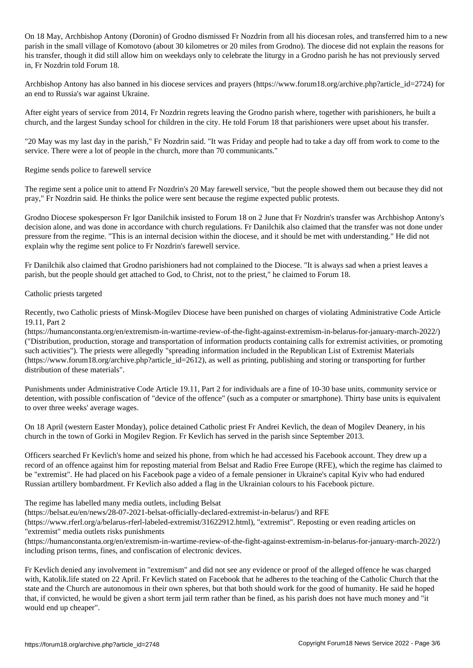On 18 May, Archbishop Antony (Doronin) of Grodno dismissed Fr Nozdrin from all his diocesan roles, and transferred him to a new parish in the small village of Komotovo (about 30 kilometres or 20 miles from Grodno). The diocese did not explain the reasons for his transfer, though it did still allow him on weekdays only to celebrate the liturgy in a Grodno parish he has not previously served in, Fr Nozdrin told Forum 18.

Archbishop Antony has also banned in his diocese services and prayers (https://www.forum18.org/archive.php?article\_id=2724) for an end to Russia's war against Ukraine.

After eight years of service from 2014, Fr Nozdrin regrets leaving the Grodno parish where, together with parishioners, he built a church, and the largest Sunday school for children in the city. He told Forum 18 that parishioners were upset about his transfer.

"20 May was my last day in the parish," Fr Nozdrin said. "It was Friday and people had to take a day off from work to come to the service. There were a lot of people in the church, more than 70 communicants."

Regime sends police to farewell service

The regime sent a police unit to attend Fr Nozdrin's 20 May farewell service, "but the people showed them out because they did not pray," Fr Nozdrin said. He thinks the police were sent because the regime expected public protests.

Grodno Diocese spokesperson Fr Igor Danilchik insisted to Forum 18 on 2 June that Fr Nozdrin's transfer was Archbishop Antony's decision alone, and was done in accordance with church regulations. Fr Danilchik also claimed that the transfer was not done under pressure from the regime. "This is an internal decision within the diocese, and it should be met with understanding." He did not explain why the regime sent police to Fr Nozdrin's farewell service.

Fr Danilchik also claimed that Grodno parishioners had not complained to the Diocese. "It is always sad when a priest leaves a parish, but the people should get attached to God, to Christ, not to the priest," he claimed to Forum 18.

## Catholic priests targeted

Recently, two Catholic priests of Minsk-Mogilev Diocese have been punished on charges of violating Administrative Code Article 19.11, Part 2

(https://humanconstanta.org/en/extremism-in-wartime-review-of-the-fight-against-extremism-in-belarus-for-january-march-2022/) ("Distribution, production, storage and transportation of information products containing calls for extremist activities, or promoting such activities"). The priests were allegedly "spreading information included in the Republican List of Extremist Materials (https://www.forum18.org/archive.php?article\_id=2612), as well as printing, publishing and storing or transporting for further distribution of these materials".

Punishments under Administrative Code Article 19.11, Part 2 for individuals are a fine of 10-30 base units, community service or detention, with possible confiscation of "device of the offence" (such as a computer or smartphone). Thirty base units is equivalent to over three weeks' average wages.

On 18 April (western Easter Monday), police detained Catholic priest Fr Andrei Kevlich, the dean of Mogilev Deanery, in his church in the town of Gorki in Mogilev Region. Fr Kevlich has served in the parish since September 2013.

Officers searched Fr Kevlich's home and seized his phone, from which he had accessed his Facebook account. They drew up a record of an offence against him for reposting material from Belsat and Radio Free Europe (RFE), which the regime has claimed to be "extremist". He had placed on his Facebook page a video of a female pensioner in Ukraine's capital Kyiv who had endured Russian artillery bombardment. Fr Kevlich also added a flag in the Ukrainian colours to his Facebook picture.

The regime has labelled many media outlets, including Belsat

(https://belsat.eu/en/news/28-07-2021-belsat-officially-declared-extremist-in-belarus/) and RFE

(https://www.rferl.org/a/belarus-rferl-labeled-extremist/31622912.html), "extremist". Reposting or even reading articles on "extremist" media outlets risks punishments

(https://humanconstanta.org/en/extremism-in-wartime-review-of-the-fight-against-extremism-in-belarus-for-january-march-2022/) including prison terms, fines, and confiscation of electronic devices.

Fr Kevlich denied any involvement in "extremism" and did not see any evidence or proof of the alleged offence he was charged with, Katolik.life stated on 22 April. Fr Kevlich stated on Facebook that he adheres to the teaching of the Catholic Church that the state and the Church are autonomous in their own spheres, but that both should work for the good of humanity. He said he hoped that, if convicted, he would be given a short term jail term rather than be fined, as his parish does not have much money and "it would end up cheaper".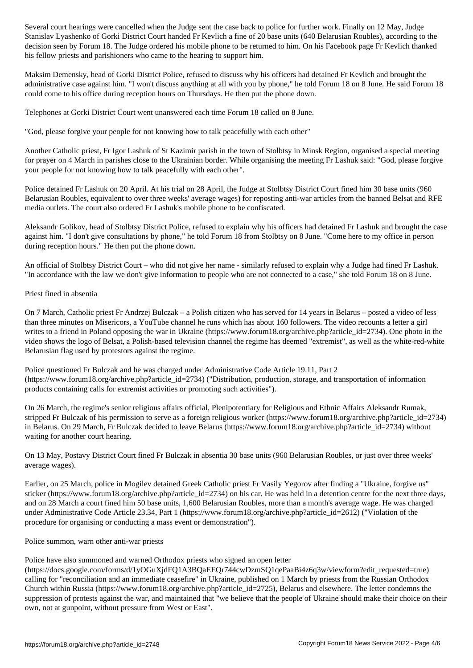Stanislav Lyashenko of Gorki District Court handed Fr Kevlich a fine of 20 base units (640 Belarusian Roubles), according to the decision seen by Forum 18. The Judge ordered his mobile phone to be returned to him. On his Facebook page Fr Kevlich thanked his fellow priests and parishioners who came to the hearing to support him.

Maksim Demensky, head of Gorki District Police, refused to discuss why his officers had detained Fr Kevlich and brought the administrative case against him. "I won't discuss anything at all with you by phone," he told Forum 18 on 8 June. He said Forum 18 could come to his office during reception hours on Thursdays. He then put the phone down.

Telephones at Gorki District Court went unanswered each time Forum 18 called on 8 June.

"God, please forgive your people for not knowing how to talk peacefully with each other"

Another Catholic priest, Fr Igor Lashuk of St Kazimir parish in the town of Stolbtsy in Minsk Region, organised a special meeting for prayer on 4 March in parishes close to the Ukrainian border. While organising the meeting Fr Lashuk said: "God, please forgive your people for not knowing how to talk peacefully with each other".

Police detained Fr Lashuk on 20 April. At his trial on 28 April, the Judge at Stolbtsy District Court fined him 30 base units (960 Belarusian Roubles, equivalent to over three weeks' average wages) for reposting anti-war articles from the banned Belsat and RFE media outlets. The court also ordered Fr Lashuk's mobile phone to be confiscated.

Aleksandr Golikov, head of Stolbtsy District Police, refused to explain why his officers had detained Fr Lashuk and brought the case against him. "I don't give consultations by phone," he told Forum 18 from Stolbtsy on 8 June. "Come here to my office in person during reception hours." He then put the phone down.

An official of Stolbtsy District Court – who did not give her name - similarly refused to explain why a Judge had fined Fr Lashuk. "In accordance with the law we don't give information to people who are not connected to a case," she told Forum 18 on 8 June.

## Priest fined in absentia

On 7 March, Catholic priest Fr Andrzej Bulczak – a Polish citizen who has served for 14 years in Belarus – posted a video of less than three minutes on Misericors, a YouTube channel he runs which has about 160 followers. The video recounts a letter a girl writes to a friend in Poland opposing the war in Ukraine (https://www.forum18.org/archive.php?article\_id=2734). One photo in the video shows the logo of Belsat, a Polish-based television channel the regime has deemed "extremist", as well as the white-red-white Belarusian flag used by protestors against the regime.

Police questioned Fr Bulczak and he was charged under Administrative Code Article 19.11, Part 2 (https://www.forum18.org/archive.php?article\_id=2734) ("Distribution, production, storage, and transportation of information products containing calls for extremist activities or promoting such activities").

On 26 March, the regime's senior religious affairs official, Plenipotentiary for Religious and Ethnic Affairs Aleksandr Rumak, stripped Fr Bulczak of his permission to serve as a foreign religious worker (https://www.forum18.org/archive.php?article\_id=2734) in Belarus. On 29 March, Fr Bulczak decided to leave Belarus (https://www.forum18.org/archive.php?article\_id=2734) without waiting for another court hearing.

On 13 May, Postavy District Court fined Fr Bulczak in absentia 30 base units (960 Belarusian Roubles, or just over three weeks' average wages).

Earlier, on 25 March, police in Mogilev detained Greek Catholic priest Fr Vasily Yegorov after finding a "Ukraine, forgive us" sticker (https://www.forum18.org/archive.php?article\_id=2734) on his car. He was held in a detention centre for the next three days, and on 28 March a court fined him 50 base units, 1,600 Belarusian Roubles, more than a month's average wage. He was charged under Administrative Code Article 23.34, Part 1 (https://www.forum18.org/archive.php?article\_id=2612) ("Violation of the procedure for organising or conducting a mass event or demonstration").

Police summon, warn other anti-war priests

Police have also summoned and warned Orthodox priests who signed an open letter

(https://docs.google.com/forms/d/1yOGuXjdFQ1A3BQaEEQr744cwDzmSQ1qePaaBi4z6q3w/viewform?edit\_requested=true) calling for "reconciliation and an immediate ceasefire" in Ukraine, published on 1 March by priests from the Russian Orthodox Church within Russia (https://www.forum18.org/archive.php?article\_id=2725), Belarus and elsewhere. The letter condemns the suppression of protests against the war, and maintained that "we believe that the people of Ukraine should make their choice on their own, not at gunpoint, without pressure from West or East".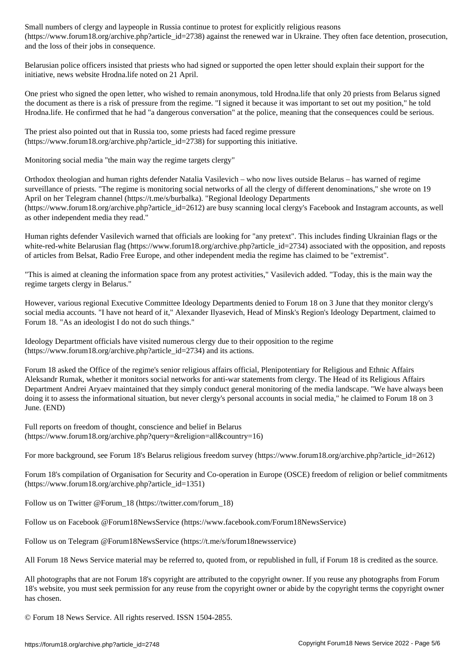(https://www.forumlarticlearticle.com/state\_id=2738) and the renewed war in Ukraine. The renewed war in Ukraine. The renewed war in Ukraine. The renewed war in Ukraine. They often face detention, provide war in Ukraine. T and the loss of their jobs in consequence.

Belarusian police officers insisted that priests who had signed or supported the open letter should explain their support for the initiative, news website Hrodna.life noted on 21 April.

One priest who signed the open letter, who wished to remain anonymous, told Hrodna.life that only 20 priests from Belarus signed the document as there is a risk of pressure from the regime. "I signed it because it was important to set out my position," he told Hrodna.life. He confirmed that he had "a dangerous conversation" at the police, meaning that the consequences could be serious.

The priest also pointed out that in Russia too, some priests had faced regime pressure (https://www.forum18.org/archive.php?article\_id=2738) for supporting this initiative.

Monitoring social media "the main way the regime targets clergy"

Orthodox theologian and human rights defender Natalia Vasilevich – who now lives outside Belarus – has warned of regime surveillance of priests. "The regime is monitoring social networks of all the clergy of different denominations," she wrote on 19 April on her Telegram channel (https://t.me/s/burbalka). "Regional Ideology Departments (https://www.forum18.org/archive.php?article\_id=2612) are busy scanning local clergy's Facebook and Instagram accounts, as well as other independent media they read."

Human rights defender Vasilevich warned that officials are looking for "any pretext". This includes finding Ukrainian flags or the white-red-white Belarusian flag (https://www.forum18.org/archive.php?article\_id=2734) associated with the opposition, and reposts of articles from Belsat, Radio Free Europe, and other independent media the regime has claimed to be "extremist".

"This is aimed at cleaning the information space from any protest activities," Vasilevich added. "Today, this is the main way the regime targets clergy in Belarus."

However, various regional Executive Committee Ideology Departments denied to Forum 18 on 3 June that they monitor clergy's social media accounts. "I have not heard of it," Alexander Ilyasevich, Head of Minsk's Region's Ideology Department, claimed to Forum 18. "As an ideologist I do not do such things."

Ideology Department officials have visited numerous clergy due to their opposition to the regime  $(\text{https://www.forum18.org/architecture.php?article}id=2734)$  and its actions.

Forum 18 asked the Office of the regime's senior religious affairs official, Plenipotentiary for Religious and Ethnic Affairs Aleksandr Rumak, whether it monitors social networks for anti-war statements from clergy. The Head of its Religious Affairs Department Andrei Aryaev maintained that they simply conduct general monitoring of the media landscape. "We have always been doing it to assess the informational situation, but never clergy's personal accounts in social media," he claimed to Forum 18 on 3 June. (END)

Full reports on freedom of thought, conscience and belief in Belarus (https://www.forum18.org/archive.php?query=&religion=all&country=16)

For more background, see Forum 18's Belarus religious freedom survey (https://www.forum18.org/archive.php?article\_id=2612)

Forum 18's compilation of Organisation for Security and Co-operation in Europe (OSCE) freedom of religion or belief commitments (https://www.forum18.org/archive.php?article\_id=1351)

Follow us on Twitter @Forum\_18 (https://twitter.com/forum\_18)

Follow us on Facebook @Forum18NewsService (https://www.facebook.com/Forum18NewsService)

Follow us on Telegram @Forum18NewsService (https://t.me/s/forum18newsservice)

All Forum 18 News Service material may be referred to, quoted from, or republished in full, if Forum 18 is credited as the source.

All photographs that are not Forum 18's copyright are attributed to the copyright owner. If you reuse any photographs from Forum 18's website, you must seek permission for any reuse from the copyright owner or abide by the copyright terms the copyright owner has chosen.

© Forum 18 News Service. All rights reserved. ISSN 1504-2855.